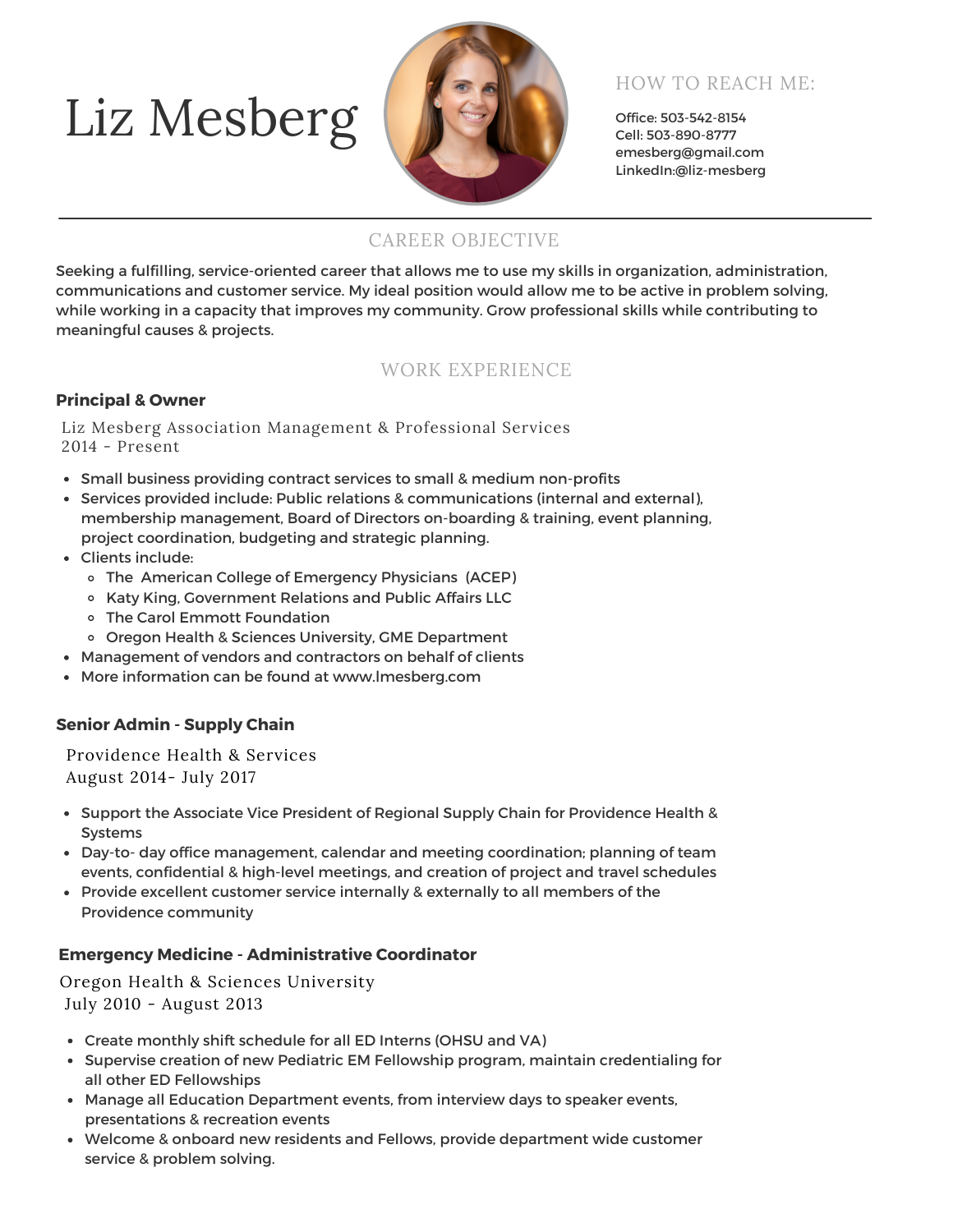# Liz Mesberg



# HOW TO REACH ME:

Office: 503-542-8154 Cell: 503-890-8777 emesberg@gmail.com LinkedIn:@liz-mesberg

## CAREER OBJECTIVE

Seeking a fulfilling, service-oriented career that allows me to use my skills in organization, administration, communications and customer service. My ideal position would allow me to be active in problem solving, while working in a capacity that improves my community. Grow professional skills while contributing to meaningful causes & projects.

## WORK EXPERIENCE

#### **Principal & Owner**

Liz Mesberg Association Management & Professional Services 2014 - Present

- Small business providing contract services to small & medium non-profits
- Services provided include: Public relations & communications (internal and external), membership management, Board of Directors on-boarding & training, event planning, project coordination, budgeting and strategic planning.
- Clients include:
	- The American College of Emergency Physicians (ACEP)
	- Katy King, Government Relations and Public Affairs LLC
	- The Carol Emmott Foundation
	- o Oregon Health & Sciences University, GME Department
- Management of vendors and contractors on behalf of clients
- More information can be found at www.lmesberg.com

### **Senior Admin - Supply Chain**

Providence Health & Services August 2014- July 2017

- Support the Associate Vice President of Regional Supply Chain for Providence Health & Systems
- Day-to- day office management, calendar and meeting coordination; planning of team events, confidential & high-level meetings, and creation of project and travel schedules
- Provide excellent customer service internally & externally to all members of the Providence community

#### **Emergency Medicine - Administrative Coordinator**

Oregon Health & Sciences University July 2010 - August 2013

- Create monthly shift schedule for all ED Interns (OHSU and VA)
- Supervise creation of new Pediatric EM Fellowship program, maintain credentialing for all other ED Fellowships
- Manage all Education Department events, from interview days to speaker events, presentations & recreation events
- Welcome & onboard new residents and Fellows, provide department wide customer service & problem solving.